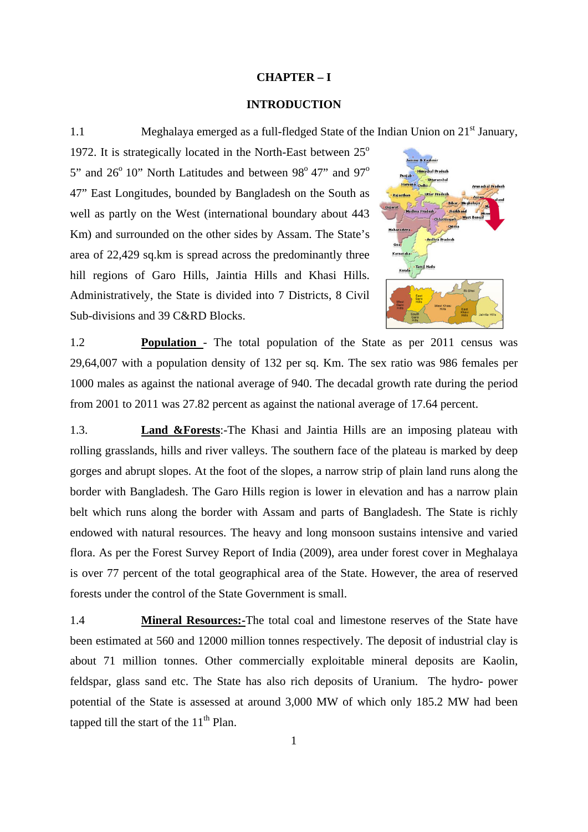## **CHAPTER – I**

## **INTRODUCTION**

1.1 Meghalaya emerged as a full-fledged State of the Indian Union on 21<sup>st</sup> January,

1972. It is strategically located in the North-East between  $25^{\circ}$ 5" and  $26^{\circ}$  10" North Latitudes and between 98 $^{\circ}$  47" and 97 $^{\circ}$ 47" East Longitudes, bounded by Bangladesh on the South as well as partly on the West (international boundary about 443 Km) and surrounded on the other sides by Assam. The State's area of 22,429 sq.km is spread across the predominantly three hill regions of Garo Hills, Jaintia Hills and Khasi Hills. Administratively, the State is divided into 7 Districts, 8 Civil Sub-divisions and 39 C&RD Blocks.



1.2 **Population** - The total population of the State as per 2011 census was 29,64,007 with a population density of 132 per sq. Km. The sex ratio was 986 females per 1000 males as against the national average of 940. The decadal growth rate during the period from 2001 to 2011 was 27.82 percent as against the national average of 17.64 percent.

1.3. **Land &Forests**:-The Khasi and Jaintia Hills are an imposing plateau with rolling grasslands, hills and river valleys. The southern face of the plateau is marked by deep gorges and abrupt slopes. At the foot of the slopes, a narrow strip of plain land runs along the border with Bangladesh. The Garo Hills region is lower in elevation and has a narrow plain belt which runs along the border with Assam and parts of Bangladesh. The State is richly endowed with natural resources. The heavy and long monsoon sustains intensive and varied flora. As per the Forest Survey Report of India (2009), area under forest cover in Meghalaya is over 77 percent of the total geographical area of the State. However, the area of reserved forests under the control of the State Government is small.

1.4 **Mineral Resources:-**The total coal and limestone reserves of the State have been estimated at 560 and 12000 million tonnes respectively. The deposit of industrial clay is about 71 million tonnes. Other commercially exploitable mineral deposits are Kaolin, feldspar, glass sand etc. The State has also rich deposits of Uranium. The hydro- power potential of the State is assessed at around 3,000 MW of which only 185.2 MW had been tapped till the start of the  $11<sup>th</sup>$  Plan.